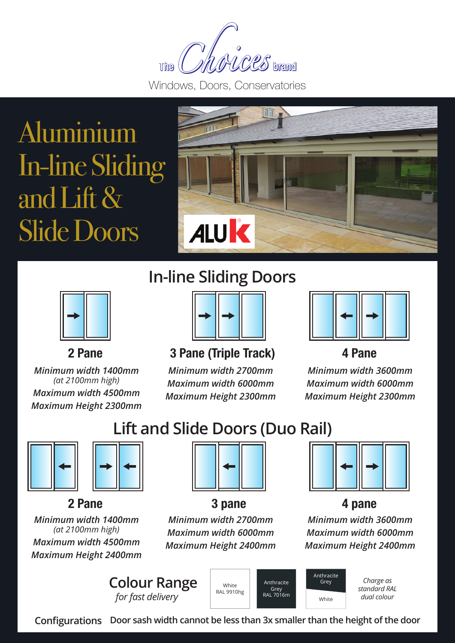$\mathcal{L}\mathcal{C}\mathcal{L}\mathcal{S}$  brand The

Windows, Doors, Conservatories

# Aluminium In-line Sliding and Lift & Slide Doors



### **In-line Sliding Doors**



**2 Pane**

*Minimum width 1400mm (at 2100mm high) Maximum width 4500mm Maximum Height 2300mm*



**3 Pane (Triple Track) 4 Pane**

*Minimum width 2700mm Maximum width 6000mm Maximum Height 2300mm*



*Minimum width 3600mm Maximum width 6000mm Maximum Height 2300mm*

# **Lift and Slide Doors (Duo Rail)**



### **2 Pane**

*Minimum width 1400mm (at 2100mm high) Maximum width 4500mm Maximum Height 2400mm*



*Minimum width 2700mm Maximum width 6000mm Maximum Height 2400mm* **3 pane**



### **4 pane**

*Minimum width 3600mm Maximum width 6000mm Maximum Height 2400mm*

**Colour Range** *for fast delivery*



Anthracite Grey RAL 7016m Anthracite Grey

White

*Charge as standard RAL dual colour*

**Configurations Door sash width cannot be less than 3x smaller than the height of the door**